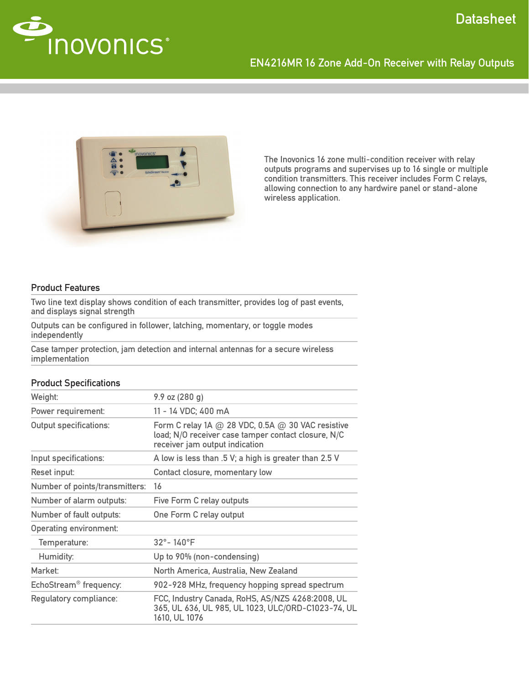

# EN4216MR 16 Zone Add-On Receiver with Relay Outputs



The Inovonics 16 zone multi-condition receiver with relay outputs programs and supervises up to 16 single or multiple condition transmitters. This receiver includes Form C relays, allowing connection to any hardwire panel or stand-alone wireless application.

## Product Features

Two line text display shows condition of each transmitter, provides log of past events, and displays signal strength

Outputs can be configured in follower, latching, momentary, or toggle modes independently

Case tamper protection, jam detection and internal antennas for a secure wireless implementation

# Weight: 9.9 oz (280 g) Power requirement: 11 - 14 VDC; 400 mA Output specifications: Form C relay 1A  $\varpi$  28 VDC, 0.5A  $\varpi$  30 VAC resistive load; N/O receiver case tamper contact closure, N/C receiver jam output indication Input specifications:  $\blacksquare$  A low is less than .5 V; a high is greater than 2.5 V Reset input: Contact closure, momentary low Number of points/transmitters: 16 Number of alarm outputs: Five Form C relay outputs Number of fault outputs: One Form C relay output Operating environment: Temperature: 32°- 140°F Humidity: Up to 90% (non-condensing) Market: North America, Australia, New Zealand EchoStream® frequency: 902-928 MHz, frequency hopping spread spectrum Regulatory compliance: FCC, Industry Canada, RoHS, AS/NZS 4268:2008, UL 365, UL 636, UL 985, UL 1023, ULC/ORD-C1023-74, UL 1610, UL 1076

### Product Specifications